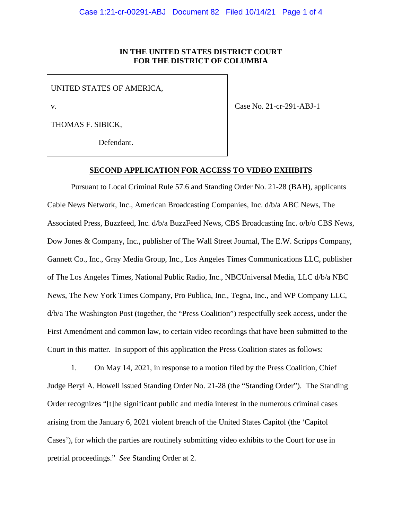# **IN THE UNITED STATES DISTRICT COURT FOR THE DISTRICT OF COLUMBIA**

UNITED STATES OF AMERICA,

v.

THOMAS F. SIBICK,

Defendant.

Case No. 21-cr-291-ABJ-1

**SECOND APPLICATION FOR ACCESS TO VIDEO EXHIBITS** 

Pursuant to Local Criminal Rule 57.6 and Standing Order No. 21-28 (BAH), applicants Cable News Network, Inc., American Broadcasting Companies, Inc. d/b/a ABC News, The Associated Press, Buzzfeed, Inc. d/b/a BuzzFeed News, CBS Broadcasting Inc. o/b/o CBS News, Dow Jones & Company, Inc., publisher of The Wall Street Journal, The E.W. Scripps Company, Gannett Co., Inc., Gray Media Group, Inc., Los Angeles Times Communications LLC, publisher of The Los Angeles Times, National Public Radio, Inc., NBCUniversal Media, LLC d/b/a NBC News, The New York Times Company, Pro Publica, Inc., Tegna, Inc., and WP Company LLC, d/b/a The Washington Post (together, the "Press Coalition") respectfully seek access, under the First Amendment and common law, to certain video recordings that have been submitted to the Court in this matter. In support of this application the Press Coalition states as follows:

1. On May 14, 2021, in response to a motion filed by the Press Coalition, Chief Judge Beryl A. Howell issued Standing Order No. 21-28 (the "Standing Order"). The Standing Order recognizes "[t]he significant public and media interest in the numerous criminal cases arising from the January 6, 2021 violent breach of the United States Capitol (the 'Capitol Cases'), for which the parties are routinely submitting video exhibits to the Court for use in pretrial proceedings." *See* Standing Order at 2.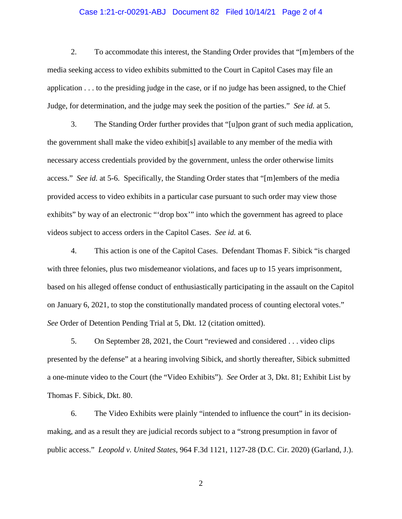### Case 1:21-cr-00291-ABJ Document 82 Filed 10/14/21 Page 2 of 4

2. To accommodate this interest, the Standing Order provides that "[m]embers of the media seeking access to video exhibits submitted to the Court in Capitol Cases may file an application . . . to the presiding judge in the case, or if no judge has been assigned, to the Chief Judge, for determination, and the judge may seek the position of the parties." *See id.* at 5.

3. The Standing Order further provides that "[u]pon grant of such media application, the government shall make the video exhibit[s] available to any member of the media with necessary access credentials provided by the government, unless the order otherwise limits access." *See id.* at 5-6. Specifically, the Standing Order states that "[m]embers of the media provided access to video exhibits in a particular case pursuant to such order may view those exhibits" by way of an electronic "'drop box'" into which the government has agreed to place videos subject to access orders in the Capitol Cases. *See id.* at 6.

4. This action is one of the Capitol Cases. Defendant Thomas F. Sibick "is charged with three felonies, plus two misdemeanor violations, and faces up to 15 years imprisonment, based on his alleged offense conduct of enthusiastically participating in the assault on the Capitol on January 6, 2021, to stop the constitutionally mandated process of counting electoral votes." *See* Order of Detention Pending Trial at 5, Dkt. 12 (citation omitted).

5. On September 28, 2021, the Court "reviewed and considered . . . video clips presented by the defense" at a hearing involving Sibick, and shortly thereafter, Sibick submitted a one-minute video to the Court (the "Video Exhibits"). *See* Order at 3, Dkt. 81; Exhibit List by Thomas F. Sibick, Dkt. 80.

6. The Video Exhibits were plainly "intended to influence the court" in its decisionmaking, and as a result they are judicial records subject to a "strong presumption in favor of public access." *Leopold v. United States*, 964 F.3d 1121, 1127-28 (D.C. Cir. 2020) (Garland, J.).

2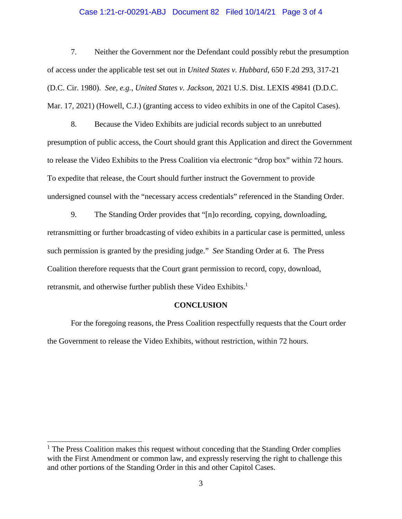### Case 1:21-cr-00291-ABJ Document 82 Filed 10/14/21 Page 3 of 4

7. Neither the Government nor the Defendant could possibly rebut the presumption of access under the applicable test set out in *United States v. Hubbard*, 650 F.2d 293, 317-21 (D.C. Cir. 1980). *See, e.g.*, *United States v. Jackson*, 2021 U.S. Dist. LEXIS 49841 (D.D.C. Mar. 17, 2021) (Howell, C.J.) (granting access to video exhibits in one of the Capitol Cases).

8. Because the Video Exhibits are judicial records subject to an unrebutted presumption of public access, the Court should grant this Application and direct the Government to release the Video Exhibits to the Press Coalition via electronic "drop box" within 72 hours. To expedite that release, the Court should further instruct the Government to provide undersigned counsel with the "necessary access credentials" referenced in the Standing Order.

9. The Standing Order provides that "[n]o recording, copying, downloading, retransmitting or further broadcasting of video exhibits in a particular case is permitted, unless such permission is granted by the presiding judge." *See* Standing Order at 6. The Press Coalition therefore requests that the Court grant permission to record, copy, download, retransmit, and otherwise further publish these Video Exhibits.<sup>1</sup>

#### **CONCLUSION**

For the foregoing reasons, the Press Coalition respectfully requests that the Court order the Government to release the Video Exhibits, without restriction, within 72 hours.

 $\overline{a}$ 

<sup>&</sup>lt;sup>1</sup> The Press Coalition makes this request without conceding that the Standing Order complies with the First Amendment or common law, and expressly reserving the right to challenge this and other portions of the Standing Order in this and other Capitol Cases.